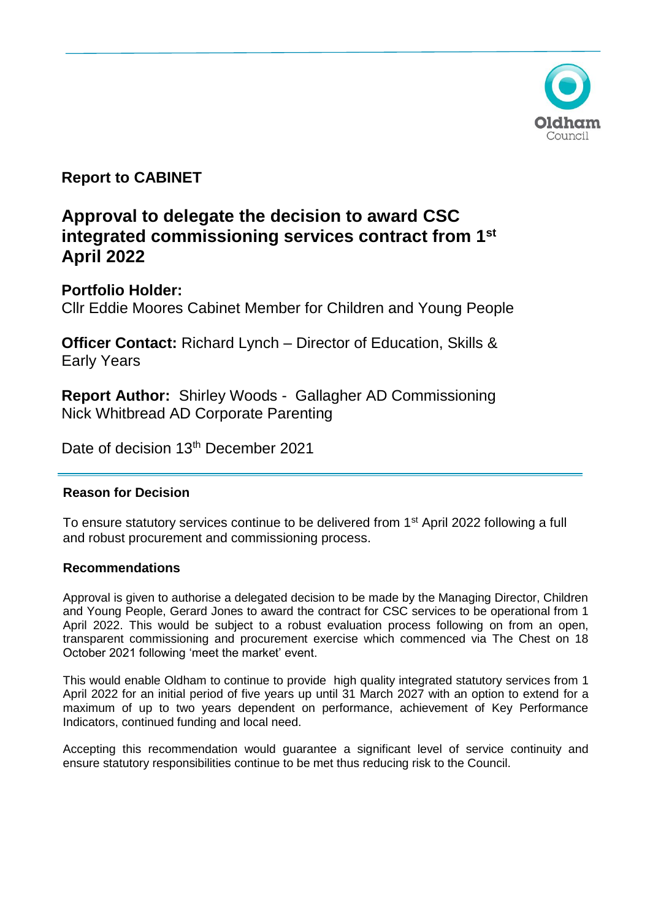

# **Report to CABINET**

# **Approval to delegate the decision to award CSC integrated commissioning services contract from 1st April 2022**

**Portfolio Holder:** 

Cllr Eddie Moores Cabinet Member for Children and Young People

**Officer Contact:** Richard Lynch – Director of Education, Skills & Early Years

**Report Author:** Shirley Woods - Gallagher AD Commissioning Nick Whitbread AD Corporate Parenting

Date of decision 13<sup>th</sup> December 2021

# **Reason for Decision**

To ensure statutory services continue to be delivered from 1<sup>st</sup> April 2022 following a full and robust procurement and commissioning process.

# **Recommendations**

Approval is given to authorise a delegated decision to be made by the Managing Director, Children and Young People, Gerard Jones to award the contract for CSC services to be operational from 1 April 2022. This would be subject to a robust evaluation process following on from an open, transparent commissioning and procurement exercise which commenced via The Chest on 18 October 2021 following 'meet the market' event.

This would enable Oldham to continue to provide high quality integrated statutory services from 1 April 2022 for an initial period of five years up until 31 March 2027 with an option to extend for a maximum of up to two years dependent on performance, achievement of Key Performance Indicators, continued funding and local need.

Accepting this recommendation would guarantee a significant level of service continuity and ensure statutory responsibilities continue to be met thus reducing risk to the Council.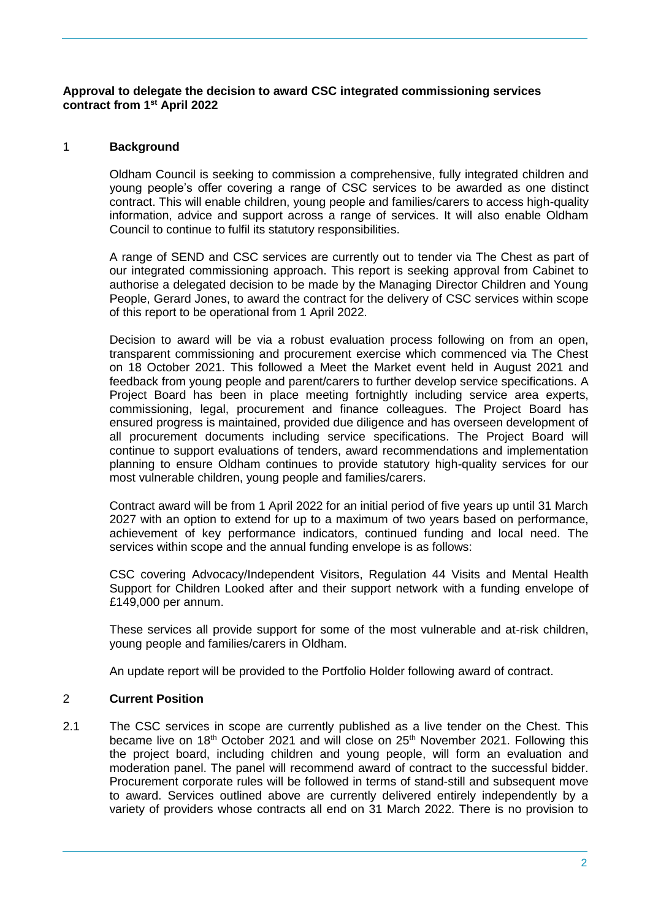#### **Approval to delegate the decision to award CSC integrated commissioning services contract from 1st April 2022**

### 1 **Background**

Oldham Council is seeking to commission a comprehensive, fully integrated children and young people's offer covering a range of CSC services to be awarded as one distinct contract. This will enable children, young people and families/carers to access high-quality information, advice and support across a range of services. It will also enable Oldham Council to continue to fulfil its statutory responsibilities.

A range of SEND and CSC services are currently out to tender via The Chest as part of our integrated commissioning approach. This report is seeking approval from Cabinet to authorise a delegated decision to be made by the Managing Director Children and Young People, Gerard Jones, to award the contract for the delivery of CSC services within scope of this report to be operational from 1 April 2022.

Decision to award will be via a robust evaluation process following on from an open, transparent commissioning and procurement exercise which commenced via The Chest on 18 October 2021. This followed a Meet the Market event held in August 2021 and feedback from young people and parent/carers to further develop service specifications. A Project Board has been in place meeting fortnightly including service area experts, commissioning, legal, procurement and finance colleagues. The Project Board has ensured progress is maintained, provided due diligence and has overseen development of all procurement documents including service specifications. The Project Board will continue to support evaluations of tenders, award recommendations and implementation planning to ensure Oldham continues to provide statutory high-quality services for our most vulnerable children, young people and families/carers.

Contract award will be from 1 April 2022 for an initial period of five years up until 31 March 2027 with an option to extend for up to a maximum of two years based on performance, achievement of key performance indicators, continued funding and local need. The services within scope and the annual funding envelope is as follows:

CSC covering Advocacy/Independent Visitors, Regulation 44 Visits and Mental Health Support for Children Looked after and their support network with a funding envelope of £149,000 per annum.

These services all provide support for some of the most vulnerable and at-risk children, young people and families/carers in Oldham.

An update report will be provided to the Portfolio Holder following award of contract.

#### 2 **Current Position**

2.1 The CSC services in scope are currently published as a live tender on the Chest. This became live on  $18<sup>th</sup>$  October 2021 and will close on  $25<sup>th</sup>$  November 2021. Following this the project board, including children and young people, will form an evaluation and moderation panel. The panel will recommend award of contract to the successful bidder. Procurement corporate rules will be followed in terms of stand-still and subsequent move to award. Services outlined above are currently delivered entirely independently by a variety of providers whose contracts all end on 31 March 2022. There is no provision to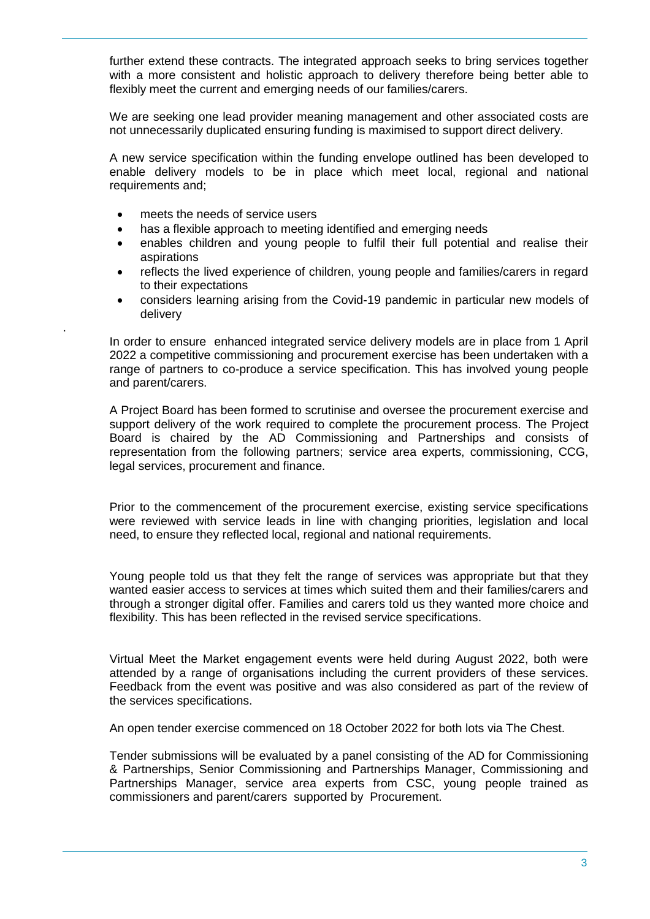further extend these contracts. The integrated approach seeks to bring services together with a more consistent and holistic approach to delivery therefore being better able to flexibly meet the current and emerging needs of our families/carers.

We are seeking one lead provider meaning management and other associated costs are not unnecessarily duplicated ensuring funding is maximised to support direct delivery.

A new service specification within the funding envelope outlined has been developed to enable delivery models to be in place which meet local, regional and national requirements and;

meets the needs of service users

.

- has a flexible approach to meeting identified and emerging needs
- enables children and young people to fulfil their full potential and realise their aspirations
- reflects the lived experience of children, young people and families/carers in regard to their expectations
- considers learning arising from the Covid-19 pandemic in particular new models of delivery

In order to ensure enhanced integrated service delivery models are in place from 1 April 2022 a competitive commissioning and procurement exercise has been undertaken with a range of partners to co-produce a service specification. This has involved young people and parent/carers.

A Project Board has been formed to scrutinise and oversee the procurement exercise and support delivery of the work required to complete the procurement process. The Project Board is chaired by the AD Commissioning and Partnerships and consists of representation from the following partners; service area experts, commissioning, CCG, legal services, procurement and finance.

Prior to the commencement of the procurement exercise, existing service specifications were reviewed with service leads in line with changing priorities, legislation and local need, to ensure they reflected local, regional and national requirements.

Young people told us that they felt the range of services was appropriate but that they wanted easier access to services at times which suited them and their families/carers and through a stronger digital offer. Families and carers told us they wanted more choice and flexibility. This has been reflected in the revised service specifications.

Virtual Meet the Market engagement events were held during August 2022, both were attended by a range of organisations including the current providers of these services. Feedback from the event was positive and was also considered as part of the review of the services specifications.

An open tender exercise commenced on 18 October 2022 for both lots via The Chest.

Tender submissions will be evaluated by a panel consisting of the AD for Commissioning & Partnerships, Senior Commissioning and Partnerships Manager, Commissioning and Partnerships Manager, service area experts from CSC, young people trained as commissioners and parent/carers supported by Procurement.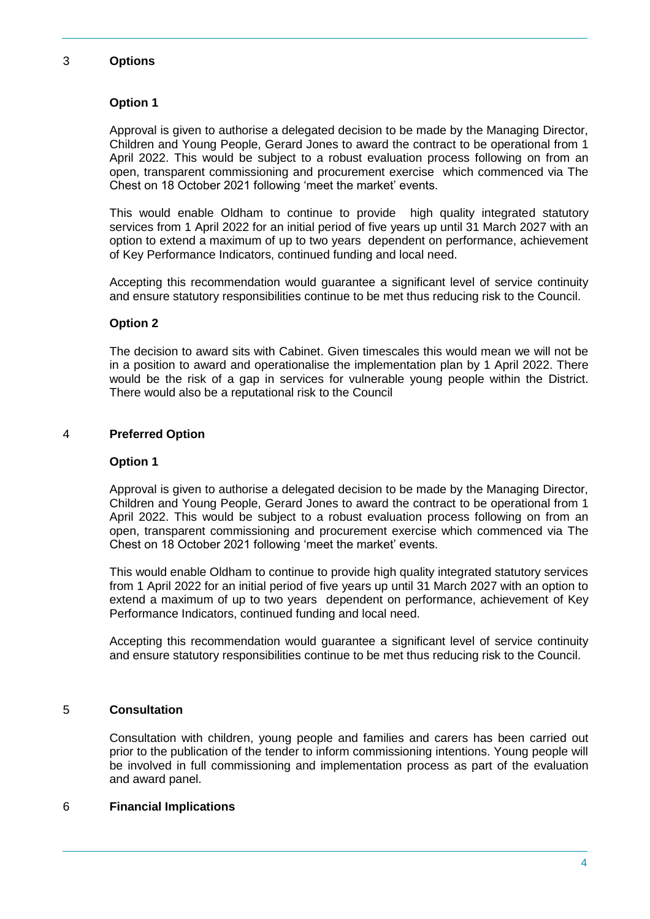#### 3 **Options**

## **Option 1**

Approval is given to authorise a delegated decision to be made by the Managing Director, Children and Young People, Gerard Jones to award the contract to be operational from 1 April 2022. This would be subject to a robust evaluation process following on from an open, transparent commissioning and procurement exercise which commenced via The Chest on 18 October 2021 following 'meet the market' events.

This would enable Oldham to continue to provide high quality integrated statutory services from 1 April 2022 for an initial period of five years up until 31 March 2027 with an option to extend a maximum of up to two years dependent on performance, achievement of Key Performance Indicators, continued funding and local need.

Accepting this recommendation would guarantee a significant level of service continuity and ensure statutory responsibilities continue to be met thus reducing risk to the Council.

# **Option 2**

The decision to award sits with Cabinet. Given timescales this would mean we will not be in a position to award and operationalise the implementation plan by 1 April 2022. There would be the risk of a gap in services for vulnerable young people within the District. There would also be a reputational risk to the Council

## 4 **Preferred Option**

#### **Option 1**

Approval is given to authorise a delegated decision to be made by the Managing Director, Children and Young People, Gerard Jones to award the contract to be operational from 1 April 2022. This would be subject to a robust evaluation process following on from an open, transparent commissioning and procurement exercise which commenced via The Chest on 18 October 2021 following 'meet the market' events.

This would enable Oldham to continue to provide high quality integrated statutory services from 1 April 2022 for an initial period of five years up until 31 March 2027 with an option to extend a maximum of up to two years dependent on performance, achievement of Key Performance Indicators, continued funding and local need.

Accepting this recommendation would guarantee a significant level of service continuity and ensure statutory responsibilities continue to be met thus reducing risk to the Council.

### 5 **Consultation**

Consultation with children, young people and families and carers has been carried out prior to the publication of the tender to inform commissioning intentions. Young people will be involved in full commissioning and implementation process as part of the evaluation and award panel.

#### 6 **Financial Implications**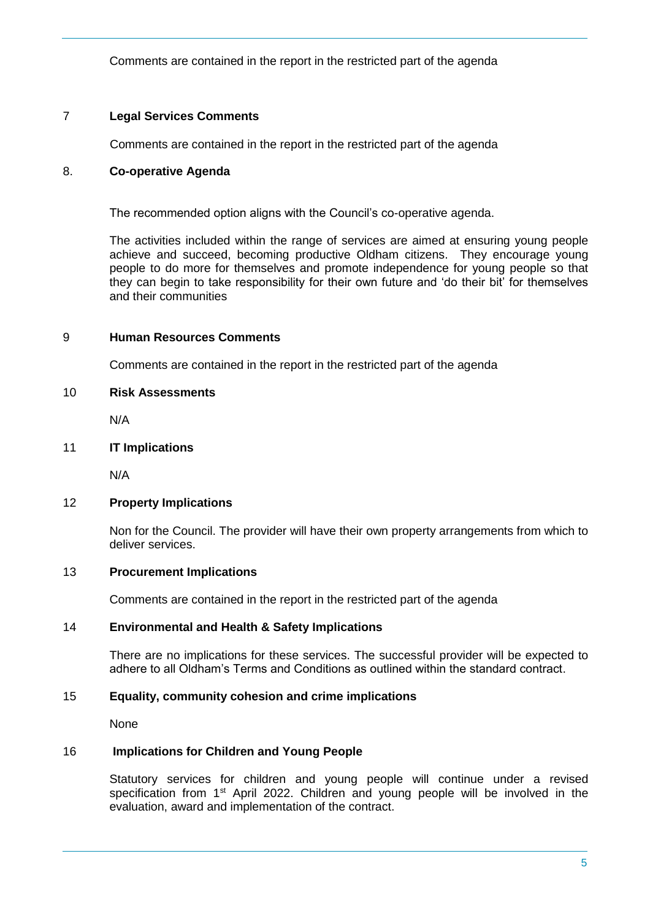Comments are contained in the report in the restricted part of the agenda

# 7 **Legal Services Comments**

Comments are contained in the report in the restricted part of the agenda

# 8. **Co-operative Agenda**

The recommended option aligns with the Council's co-operative agenda.

The activities included within the range of services are aimed at ensuring young people achieve and succeed, becoming productive Oldham citizens. They encourage young people to do more for themselves and promote independence for young people so that they can begin to take responsibility for their own future and 'do their bit' for themselves and their communities

## 9 **Human Resources Comments**

Comments are contained in the report in the restricted part of the agenda

## 10 **Risk Assessments**

N/A

## 11 **IT Implications**

N/A

#### 12 **Property Implications**

Non for the Council. The provider will have their own property arrangements from which to deliver services.

#### 13 **Procurement Implications**

Comments are contained in the report in the restricted part of the agenda

#### 14 **Environmental and Health & Safety Implications**

There are no implications for these services. The successful provider will be expected to adhere to all Oldham's Terms and Conditions as outlined within the standard contract.

#### 15 **Equality, community cohesion and crime implications**

None

# 16 **Implications for Children and Young People**

Statutory services for children and young people will continue under a revised specification from 1<sup>st</sup> April 2022. Children and young people will be involved in the evaluation, award and implementation of the contract.